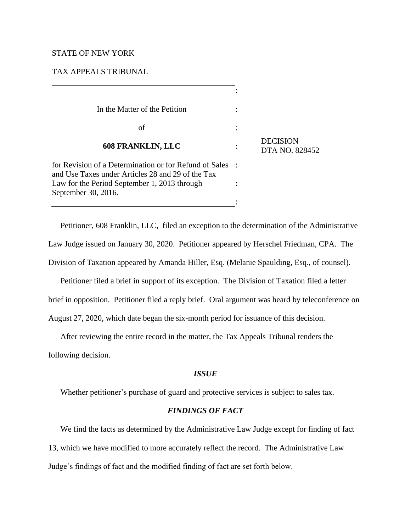# STATE OF NEW YORK

## TAX APPEALS TRIBUNAL

| In the Matter of the Petition                                                                                                                               |                                          |
|-------------------------------------------------------------------------------------------------------------------------------------------------------------|------------------------------------------|
| of                                                                                                                                                          |                                          |
| <b>608 FRANKLIN, LLC</b>                                                                                                                                    | <b>DECISION</b><br><b>DTA NO. 828452</b> |
| for Revision of a Determination or for Refund of Sales<br>and Use Taxes under Articles 28 and 29 of the Tax<br>Law for the Period September 1, 2013 through |                                          |
| September 30, 2016.                                                                                                                                         |                                          |

Petitioner, 608 Franklin, LLC, filed an exception to the determination of the Administrative Law Judge issued on January 30, 2020. Petitioner appeared by Herschel Friedman, CPA. The Division of Taxation appeared by Amanda Hiller, Esq. (Melanie Spaulding, Esq., of counsel).

Petitioner filed a brief in support of its exception. The Division of Taxation filed a letter brief in opposition. Petitioner filed a reply brief. Oral argument was heard by teleconference on August 27, 2020, which date began the six-month period for issuance of this decision.

After reviewing the entire record in the matter, the Tax Appeals Tribunal renders the following decision.

# *ISSUE*

Whether petitioner's purchase of guard and protective services is subject to sales tax.

# *FINDINGS OF FACT*

We find the facts as determined by the Administrative Law Judge except for finding of fact 13, which we have modified to more accurately reflect the record. The Administrative Law Judge's findings of fact and the modified finding of fact are set forth below.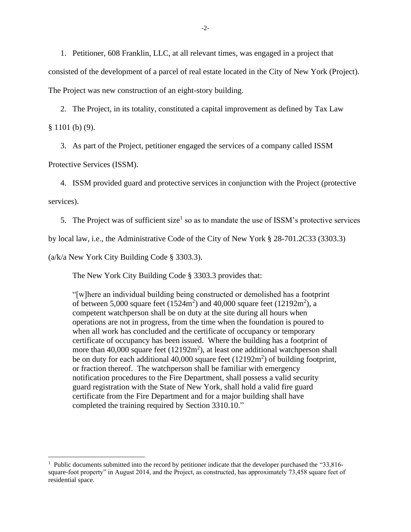1. Petitioner, 608 Franklin, LLC, at all relevant times, was engaged in a project that consisted of the development of a parcel of real estate located in the City of New York (Project). The Project was new construction of an eight-story building.

2. The Project, in its totality, constituted a capital improvement as defined by Tax Law

 $§ 1101$  (b) (9).

3. As part of the Project, petitioner engaged the services of a company called ISSM

Protective Services (ISSM).

4. ISSM provided guard and protective services in conjunction with the Project (protective

services).

5. The Project was of sufficient size<sup>1</sup> so as to mandate the use of ISSM's protective services

by local law, i.e., the Administrative Code of the City of New York § 28-701.2C33 (3303.3)

(a/k/a New York City Building Code § 3303.3).

The New York City Building Code § 3303.3 provides that:

"[w]here an individual building being constructed or demolished has a footprint of between 5,000 square feet  $(1524m^2)$  and 40,000 square feet  $(12192m^2)$ , a competent watchperson shall be on duty at the site during all hours when operations are not in progress, from the time when the foundation is poured to when all work has concluded and the certificate of occupancy or temporary certificate of occupancy has been issued. Where the building has a footprint of more than 40,000 square feet  $(12192m^2)$ , at least one additional watchperson shall be on duty for each additional  $40,000$  square feet  $(12192m<sup>2</sup>)$  of building footprint, or fraction thereof. The watchperson shall be familiar with emergency notification procedures to the Fire Department, shall possess a valid security guard registration with the State of New York, shall hold a valid fire guard certificate from the Fire Department and for a major building shall have completed the training required by Section 3310.10."

<sup>&</sup>lt;sup>1</sup> Public documents submitted into the record by petitioner indicate that the developer purchased the "33,816square-foot property" in August 2014, and the Project, as constructed, has approximately 73,458 square feet of residential space.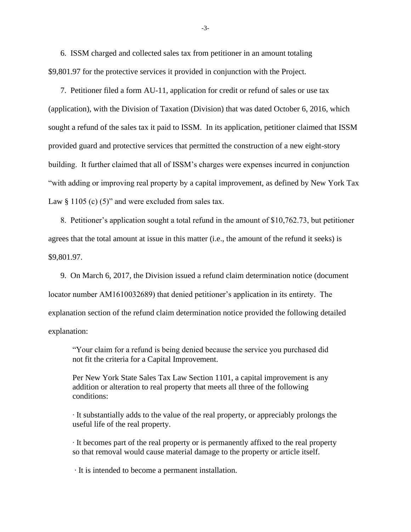6. ISSM charged and collected sales tax from petitioner in an amount totaling \$9,801.97 for the protective services it provided in conjunction with the Project.

7. Petitioner filed a form AU-11, application for credit or refund of sales or use tax (application), with the Division of Taxation (Division) that was dated October 6, 2016, which sought a refund of the sales tax it paid to ISSM. In its application, petitioner claimed that ISSM provided guard and protective services that permitted the construction of a new eight-story building. It further claimed that all of ISSM's charges were expenses incurred in conjunction "with adding or improving real property by a capital improvement, as defined by New York Tax Law  $\S$  1105 (c) (5)" and were excluded from sales tax.

8. Petitioner's application sought a total refund in the amount of \$10,762.73, but petitioner agrees that the total amount at issue in this matter (i.e., the amount of the refund it seeks) is \$9,801.97.

9. On March 6, 2017, the Division issued a refund claim determination notice (document locator number AM1610032689) that denied petitioner's application in its entirety. The explanation section of the refund claim determination notice provided the following detailed explanation:

"Your claim for a refund is being denied because the service you purchased did not fit the criteria for a Capital Improvement.

Per New York State Sales Tax Law Section 1101, a capital improvement is any addition or alteration to real property that meets all three of the following conditions:

∙ It substantially adds to the value of the real property, or appreciably prolongs the useful life of the real property.

∙ It becomes part of the real property or is permanently affixed to the real property so that removal would cause material damage to the property or article itself.

∙ It is intended to become a permanent installation.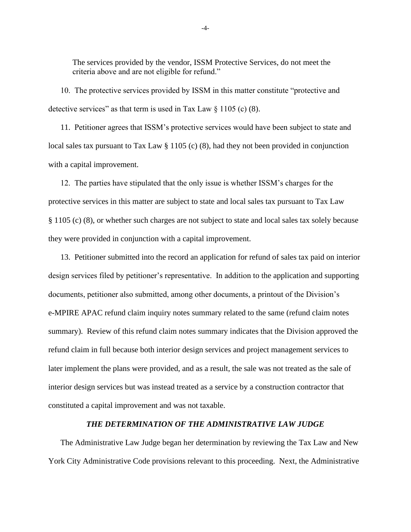The services provided by the vendor, ISSM Protective Services, do not meet the criteria above and are not eligible for refund."

10. The protective services provided by ISSM in this matter constitute "protective and detective services" as that term is used in Tax Law  $\S 1105$  (c) (8).

11. Petitioner agrees that ISSM's protective services would have been subject to state and local sales tax pursuant to Tax Law § 1105 (c) (8), had they not been provided in conjunction with a capital improvement.

12. The parties have stipulated that the only issue is whether ISSM's charges for the protective services in this matter are subject to state and local sales tax pursuant to Tax Law § 1105 (c) (8), or whether such charges are not subject to state and local sales tax solely because they were provided in conjunction with a capital improvement.

13. Petitioner submitted into the record an application for refund of sales tax paid on interior design services filed by petitioner's representative. In addition to the application and supporting documents, petitioner also submitted, among other documents, a printout of the Division's e-MPIRE APAC refund claim inquiry notes summary related to the same (refund claim notes summary). Review of this refund claim notes summary indicates that the Division approved the refund claim in full because both interior design services and project management services to later implement the plans were provided, and as a result, the sale was not treated as the sale of interior design services but was instead treated as a service by a construction contractor that constituted a capital improvement and was not taxable.

#### *THE DETERMINATION OF THE ADMINISTRATIVE LAW JUDGE*

The Administrative Law Judge began her determination by reviewing the Tax Law and New York City Administrative Code provisions relevant to this proceeding. Next, the Administrative

-4-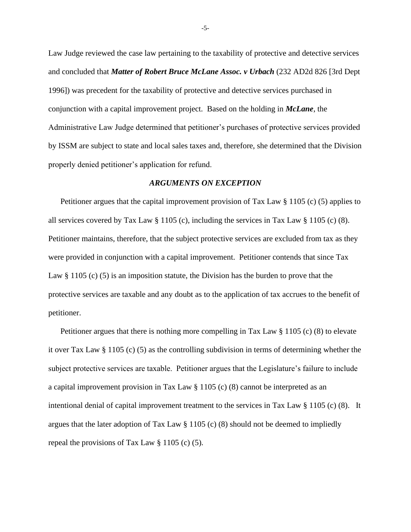Law Judge reviewed the case law pertaining to the taxability of protective and detective services and concluded that *Matter of Robert Bruce McLane Assoc. v Urbach* (232 AD2d 826 [3rd Dept 1996]) was precedent for the taxability of protective and detective services purchased in conjunction with a capital improvement project. Based on the holding in *McLane*, the Administrative Law Judge determined that petitioner's purchases of protective services provided by ISSM are subject to state and local sales taxes and, therefore, she determined that the Division properly denied petitioner's application for refund.

### *ARGUMENTS ON EXCEPTION*

Petitioner argues that the capital improvement provision of Tax Law § 1105 (c) (5) applies to all services covered by Tax Law  $\S 1105$  (c), including the services in Tax Law  $\S 1105$  (c) (8). Petitioner maintains, therefore, that the subject protective services are excluded from tax as they were provided in conjunction with a capital improvement. Petitioner contends that since Tax Law § 1105 (c) (5) is an imposition statute, the Division has the burden to prove that the protective services are taxable and any doubt as to the application of tax accrues to the benefit of petitioner.

Petitioner argues that there is nothing more compelling in Tax Law § 1105 (c) (8) to elevate it over Tax Law § 1105 (c) (5) as the controlling subdivision in terms of determining whether the subject protective services are taxable. Petitioner argues that the Legislature's failure to include a capital improvement provision in Tax Law § 1105 (c) (8) cannot be interpreted as an intentional denial of capital improvement treatment to the services in Tax Law § 1105 (c) (8). It argues that the later adoption of Tax Law § 1105 (c) (8) should not be deemed to impliedly repeal the provisions of Tax Law § 1105 (c) (5).

-5-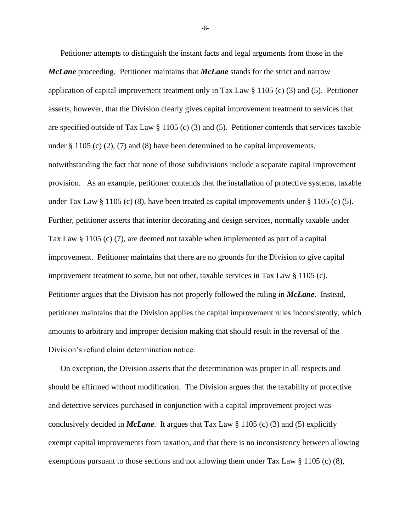Petitioner attempts to distinguish the instant facts and legal arguments from those in the *McLane* proceeding. Petitioner maintains that *McLane* stands for the strict and narrow application of capital improvement treatment only in Tax Law  $\S$  1105 (c) (3) and (5). Petitioner asserts, however, that the Division clearly gives capital improvement treatment to services that are specified outside of Tax Law  $\S 1105$  (c) (3) and (5). Petitioner contends that services taxable under  $\S 1105$  (c) (2), (7) and (8) have been determined to be capital improvements, notwithstanding the fact that none of those subdivisions include a separate capital improvement provision. As an example, petitioner contends that the installation of protective systems, taxable under Tax Law  $\S 1105$  (c) (8), have been treated as capital improvements under  $\S 1105$  (c) (5). Further, petitioner asserts that interior decorating and design services, normally taxable under Tax Law § 1105 (c) (7), are deemed not taxable when implemented as part of a capital improvement. Petitioner maintains that there are no grounds for the Division to give capital improvement treatment to some, but not other, taxable services in Tax Law § 1105 (c). Petitioner argues that the Division has not properly followed the ruling in *McLane*. Instead, petitioner maintains that the Division applies the capital improvement rules inconsistently, which amounts to arbitrary and improper decision making that should result in the reversal of the Division's refund claim determination notice.

On exception, the Division asserts that the determination was proper in all respects and should be affirmed without modification. The Division argues that the taxability of protective and detective services purchased in conjunction with a capital improvement project was conclusively decided in *McLane*. It argues that Tax Law § 1105 (c) (3) and (5) explicitly exempt capital improvements from taxation, and that there is no inconsistency between allowing exemptions pursuant to those sections and not allowing them under Tax Law § 1105 (c) (8),

-6-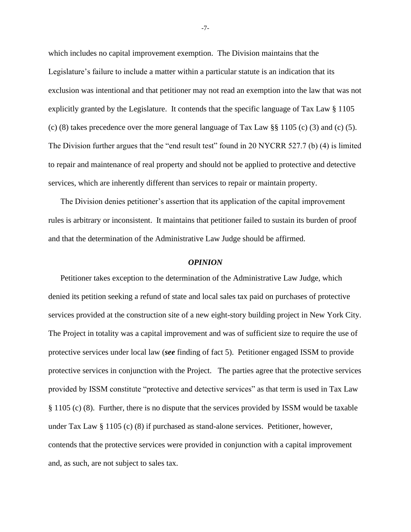which includes no capital improvement exemption. The Division maintains that the Legislature's failure to include a matter within a particular statute is an indication that its exclusion was intentional and that petitioner may not read an exemption into the law that was not explicitly granted by the Legislature. It contends that the specific language of Tax Law § 1105 (c) (8) takes precedence over the more general language of Tax Law  $\S$  1105 (c) (3) and (c) (5). The Division further argues that the "end result test" found in 20 NYCRR 527.7 (b) (4) is limited to repair and maintenance of real property and should not be applied to protective and detective services, which are inherently different than services to repair or maintain property.

The Division denies petitioner's assertion that its application of the capital improvement rules is arbitrary or inconsistent. It maintains that petitioner failed to sustain its burden of proof and that the determination of the Administrative Law Judge should be affirmed.

### *OPINION*

Petitioner takes exception to the determination of the Administrative Law Judge, which denied its petition seeking a refund of state and local sales tax paid on purchases of protective services provided at the construction site of a new eight-story building project in New York City. The Project in totality was a capital improvement and was of sufficient size to require the use of protective services under local law (*see* finding of fact 5). Petitioner engaged ISSM to provide protective services in conjunction with the Project. The parties agree that the protective services provided by ISSM constitute "protective and detective services" as that term is used in Tax Law § 1105 (c) (8). Further, there is no dispute that the services provided by ISSM would be taxable under Tax Law § 1105 (c) (8) if purchased as stand-alone services. Petitioner, however, contends that the protective services were provided in conjunction with a capital improvement and, as such, are not subject to sales tax.

-7-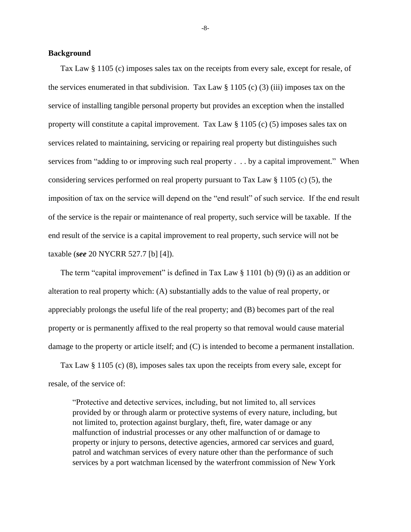## **Background**

Tax Law § 1105 (c) imposes sales tax on the receipts from every sale, except for resale, of the services enumerated in that subdivision. Tax Law  $\S 1105$  (c) (3) (iii) imposes tax on the service of installing tangible personal property but provides an exception when the installed property will constitute a capital improvement. Tax Law § 1105 (c) (5) imposes sales tax on services related to maintaining, servicing or repairing real property but distinguishes such services from "adding to or improving such real property . . . by a capital improvement." When considering services performed on real property pursuant to Tax Law § 1105 (c) (5), the imposition of tax on the service will depend on the "end result" of such service. If the end result of the service is the repair or maintenance of real property, such service will be taxable. If the end result of the service is a capital improvement to real property, such service will not be taxable (*see* 20 NYCRR 527.7 [b] [4]).

The term "capital improvement" is defined in Tax Law  $\S$  1101 (b) (9) (i) as an addition or alteration to real property which: (A) substantially adds to the value of real property, or appreciably prolongs the useful life of the real property; and (B) becomes part of the real property or is permanently affixed to the real property so that removal would cause material damage to the property or article itself; and (C) is intended to become a permanent installation.

Tax Law § 1105 (c) (8), imposes sales tax upon the receipts from every sale, except for resale, of the service of:

"Protective and detective services, including, but not limited to, all services provided by or through alarm or protective systems of every nature, including, but not limited to, protection against burglary, theft, fire, water damage or any malfunction of industrial processes or any other malfunction of or damage to property or injury to persons, detective agencies, armored car services and guard, patrol and watchman services of every nature other than the performance of such services by a port watchman licensed by the waterfront commission of New York

-8-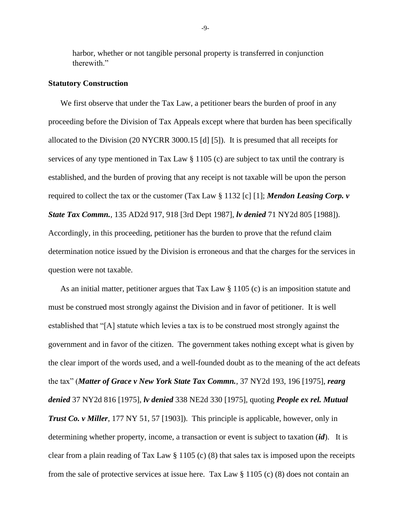harbor, whether or not tangible personal property is transferred in conjunction therewith."

#### **Statutory Construction**

We first observe that under the Tax Law, a petitioner bears the burden of proof in any proceeding before the Division of Tax Appeals except where that burden has been specifically allocated to the Division (20 NYCRR 3000.15 [d] [5]). It is presumed that all receipts for services of any type mentioned in Tax Law § 1105 (c) are subject to tax until the contrary is established, and the burden of proving that any receipt is not taxable will be upon the person required to collect the tax or the customer (Tax Law § 1132 [c] [1]; *Mendon Leasing Corp. v State Tax Commn.*, 135 AD2d 917, 918 [3rd Dept 1987], *lv denied* 71 NY2d 805 [1988]). Accordingly, in this proceeding, petitioner has the burden to prove that the refund claim determination notice issued by the Division is erroneous and that the charges for the services in question were not taxable.

As an initial matter, petitioner argues that Tax Law § 1105 (c) is an imposition statute and must be construed most strongly against the Division and in favor of petitioner. It is well established that "[A] statute which levies a tax is to be construed most strongly against the government and in favor of the citizen. The government takes nothing except what is given by the clear import of the words used, and a well-founded doubt as to the meaning of the act defeats the tax" (*Matter of Grace v New York State Tax Commn.*, 37 NY2d 193, 196 [1975], *rearg denied* 37 NY2d 816 [1975], *lv denied* 338 NE2d 330 [1975], quoting *People ex rel. Mutual Trust Co. v Miller*, 177 NY 51, 57 [1903]). This principle is applicable, however, only in determining whether property, income, a transaction or event is subject to taxation (*id*). It is clear from a plain reading of Tax Law § 1105 (c) (8) that sales tax is imposed upon the receipts from the sale of protective services at issue here. Tax Law § 1105 (c) (8) does not contain an

-9-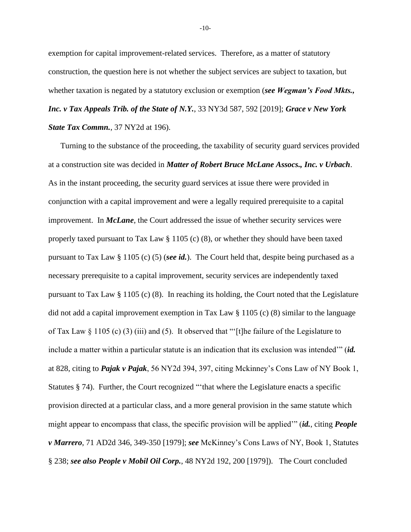exemption for capital improvement-related services. Therefore, as a matter of statutory construction, the question here is not whether the subject services are subject to taxation, but whether taxation is negated by a statutory exclusion or exemption (*see Wegman's Food Mkts., Inc. v Tax Appeals Trib. of the State of N.Y.*, 33 NY3d 587, 592 [2019]; *Grace v New York State Tax Commn.*, 37 NY2d at 196).

Turning to the substance of the proceeding, the taxability of security guard services provided at a construction site was decided in *Matter of Robert Bruce McLane Assocs., Inc. v Urbach*. As in the instant proceeding, the security guard services at issue there were provided in conjunction with a capital improvement and were a legally required prerequisite to a capital improvement. In *McLane*, the Court addressed the issue of whether security services were properly taxed pursuant to Tax Law § 1105 (c) (8), or whether they should have been taxed pursuant to Tax Law § 1105 (c) (5) (*see id.*). The Court held that, despite being purchased as a necessary prerequisite to a capital improvement, security services are independently taxed pursuant to Tax Law  $\S 1105$  (c) (8). In reaching its holding, the Court noted that the Legislature did not add a capital improvement exemption in Tax Law § 1105 (c) (8) similar to the language of Tax Law  $\S$  1105 (c) (3) (iii) and (5). It observed that "[t]he failure of the Legislature to include a matter within a particular statute is an indication that its exclusion was intended'" (*id.*  at 828, citing to *Pajak v Pajak*, 56 NY2d 394, 397, citing Mckinney's Cons Law of NY Book 1, Statutes § 74). Further, the Court recognized "that where the Legislature enacts a specific provision directed at a particular class, and a more general provision in the same statute which might appear to encompass that class, the specific provision will be applied'" (*id.*, citing *People v Marrero*, 71 AD2d 346, 349-350 [1979]; *see* McKinney's Cons Laws of NY, Book 1, Statutes § 238; *see also People v Mobil Oil Corp.*, 48 NY2d 192, 200 [1979]). The Court concluded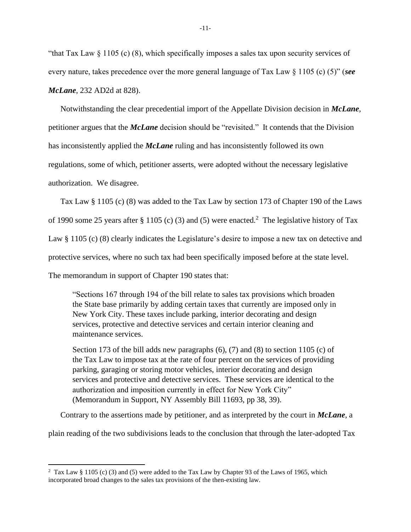"that Tax Law § 1105 (c) (8), which specifically imposes a sales tax upon security services of every nature, takes precedence over the more general language of Tax Law § 1105 (c) (5)" (*see McLane*, 232 AD2d at 828).

Notwithstanding the clear precedential import of the Appellate Division decision in *McLane*, petitioner argues that the *McLane* decision should be "revisited." It contends that the Division has inconsistently applied the *McLane* ruling and has inconsistently followed its own regulations, some of which, petitioner asserts, were adopted without the necessary legislative authorization. We disagree.

Tax Law § 1105 (c) (8) was added to the Tax Law by section 173 of Chapter 190 of the Laws

of 1990 some 25 years after § 1105 (c) (3) and (5) were enacted.<sup>2</sup> The legislative history of Tax

Law § 1105 (c) (8) clearly indicates the Legislature's desire to impose a new tax on detective and

protective services, where no such tax had been specifically imposed before at the state level.

The memorandum in support of Chapter 190 states that:

"Sections 167 through 194 of the bill relate to sales tax provisions which broaden the State base primarily by adding certain taxes that currently are imposed only in New York City. These taxes include parking, interior decorating and design services, protective and detective services and certain interior cleaning and maintenance services.

Section 173 of the bill adds new paragraphs (6), (7) and (8) to section 1105 (c) of the Tax Law to impose tax at the rate of four percent on the services of providing parking, garaging or storing motor vehicles, interior decorating and design services and protective and detective services. These services are identical to the authorization and imposition currently in effect for New York City" (Memorandum in Support, NY Assembly Bill 11693, pp 38, 39).

Contrary to the assertions made by petitioner, and as interpreted by the court in *McLane*, a

plain reading of the two subdivisions leads to the conclusion that through the later-adopted Tax

<sup>&</sup>lt;sup>2</sup> Tax Law § 1105 (c) (3) and (5) were added to the Tax Law by Chapter 93 of the Laws of 1965, which incorporated broad changes to the sales tax provisions of the then-existing law.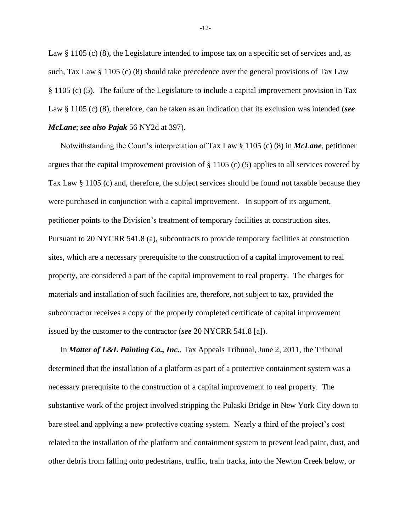Law  $\S 1105$  (c) (8), the Legislature intended to impose tax on a specific set of services and, as such, Tax Law § 1105 (c) (8) should take precedence over the general provisions of Tax Law § 1105 (c) (5). The failure of the Legislature to include a capital improvement provision in Tax Law § 1105 (c) (8), therefore, can be taken as an indication that its exclusion was intended (*see McLane*; *see also Pajak* 56 NY2d at 397).

Notwithstanding the Court's interpretation of Tax Law § 1105 (c) (8) in *McLane*, petitioner argues that the capital improvement provision of  $\S 1105$  (c) (5) applies to all services covered by Tax Law § 1105 (c) and, therefore, the subject services should be found not taxable because they were purchased in conjunction with a capital improvement. In support of its argument, petitioner points to the Division's treatment of temporary facilities at construction sites. Pursuant to 20 NYCRR 541.8 (a), subcontracts to provide temporary facilities at construction sites, which are a necessary prerequisite to the construction of a capital improvement to real property, are considered a part of the capital improvement to real property. The charges for materials and installation of such facilities are, therefore, not subject to tax, provided the subcontractor receives a copy of the properly completed certificate of capital improvement issued by the customer to the contractor (*see* 20 NYCRR 541.8 [a]).

In *Matter of L&L Painting Co., Inc.*, Tax Appeals Tribunal, June 2, 2011, the Tribunal determined that the installation of a platform as part of a protective containment system was a necessary prerequisite to the construction of a capital improvement to real property. The substantive work of the project involved stripping the Pulaski Bridge in New York City down to bare steel and applying a new protective coating system. Nearly a third of the project's cost related to the installation of the platform and containment system to prevent lead paint, dust, and other debris from falling onto pedestrians, traffic, train tracks, into the Newton Creek below, or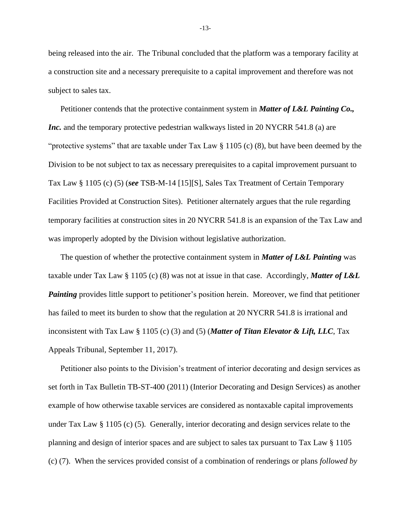being released into the air. The Tribunal concluded that the platform was a temporary facility at a construction site and a necessary prerequisite to a capital improvement and therefore was not subject to sales tax.

Petitioner contends that the protective containment system in *Matter of L&L Painting Co., Inc.* and the temporary protective pedestrian walkways listed in 20 NYCRR 541.8 (a) are "protective systems" that are taxable under Tax Law § 1105 (c) (8), but have been deemed by the Division to be not subject to tax as necessary prerequisites to a capital improvement pursuant to Tax Law § 1105 (c) (5) (*see* TSB-M-14 [15][S], Sales Tax Treatment of Certain Temporary Facilities Provided at Construction Sites). Petitioner alternately argues that the rule regarding temporary facilities at construction sites in 20 NYCRR 541.8 is an expansion of the Tax Law and was improperly adopted by the Division without legislative authorization.

The question of whether the protective containment system in *Matter of L&L Painting* was taxable under Tax Law § 1105 (c) (8) was not at issue in that case. Accordingly, *Matter of L&L Painting* provides little support to petitioner's position herein. Moreover, we find that petitioner has failed to meet its burden to show that the regulation at 20 NYCRR 541.8 is irrational and inconsistent with Tax Law § 1105 (c) (3) and (5) (*Matter of Titan Elevator & Lift, LLC*, Tax Appeals Tribunal, September 11, 2017).

Petitioner also points to the Division's treatment of interior decorating and design services as set forth in Tax Bulletin TB-ST-400 (2011) (Interior Decorating and Design Services) as another example of how otherwise taxable services are considered as nontaxable capital improvements under Tax Law § 1105 (c) (5). Generally, interior decorating and design services relate to the planning and design of interior spaces and are subject to sales tax pursuant to Tax Law § 1105 (c) (7). When the services provided consist of a combination of renderings or plans *followed by* 

-13-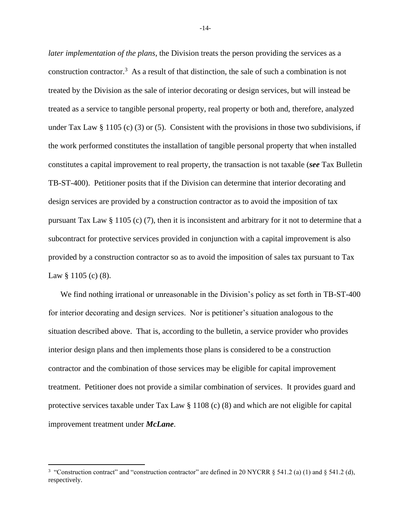*later implementation of the plans*, the Division treats the person providing the services as a construction contractor.<sup>3</sup> As a result of that distinction, the sale of such a combination is not treated by the Division as the sale of interior decorating or design services, but will instead be treated as a service to tangible personal property, real property or both and, therefore, analyzed under Tax Law § 1105 (c) (3) or (5). Consistent with the provisions in those two subdivisions, if the work performed constitutes the installation of tangible personal property that when installed constitutes a capital improvement to real property, the transaction is not taxable (*see* Tax Bulletin TB-ST-400). Petitioner posits that if the Division can determine that interior decorating and design services are provided by a construction contractor as to avoid the imposition of tax pursuant Tax Law § 1105 (c) (7), then it is inconsistent and arbitrary for it not to determine that a subcontract for protective services provided in conjunction with a capital improvement is also provided by a construction contractor so as to avoid the imposition of sales tax pursuant to Tax Law  $\S 1105$  (c) (8).

We find nothing irrational or unreasonable in the Division's policy as set forth in TB-ST-400 for interior decorating and design services. Nor is petitioner's situation analogous to the situation described above. That is, according to the bulletin, a service provider who provides interior design plans and then implements those plans is considered to be a construction contractor and the combination of those services may be eligible for capital improvement treatment. Petitioner does not provide a similar combination of services. It provides guard and protective services taxable under Tax Law  $\S 1108$  (c) (8) and which are not eligible for capital improvement treatment under *McLane*.

-14-

<sup>&</sup>lt;sup>3</sup> "Construction contract" and "construction contractor" are defined in 20 NYCRR § 541.2 (a) (1) and § 541.2 (d), respectively.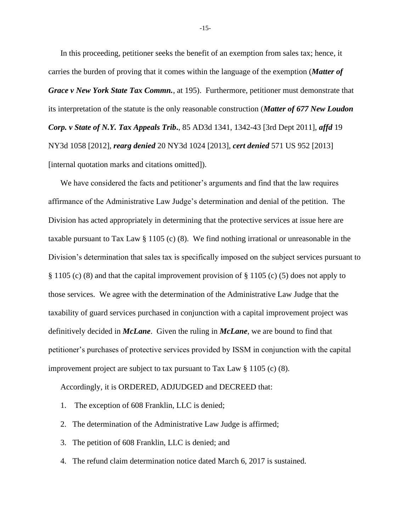In this proceeding, petitioner seeks the benefit of an exemption from sales tax; hence, it carries the burden of proving that it comes within the language of the exemption (*Matter of Grace v New York State Tax Commn.*, at 195). Furthermore, petitioner must demonstrate that its interpretation of the statute is the only reasonable construction (*Matter of 677 New Loudon Corp. v State of N.Y. Tax Appeals Trib***.**, 85 AD3d 1341, 1342-43 [3rd Dept 2011], *affd* 19 NY3d 1058 [2012], *rearg denied* 20 NY3d 1024 [2013], *cert denied* 571 US 952 [2013] [internal quotation marks and citations omitted]).

We have considered the facts and petitioner's arguments and find that the law requires affirmance of the Administrative Law Judge's determination and denial of the petition. The Division has acted appropriately in determining that the protective services at issue here are taxable pursuant to Tax Law § 1105 (c) (8). We find nothing irrational or unreasonable in the Division's determination that sales tax is specifically imposed on the subject services pursuant to § 1105 (c) (8) and that the capital improvement provision of § 1105 (c) (5) does not apply to those services. We agree with the determination of the Administrative Law Judge that the taxability of guard services purchased in conjunction with a capital improvement project was definitively decided in *McLane*. Given the ruling in *McLane*, we are bound to find that petitioner's purchases of protective services provided by ISSM in conjunction with the capital improvement project are subject to tax pursuant to Tax Law § 1105 (c) (8).

Accordingly, it is ORDERED, ADJUDGED and DECREED that:

- 1. The exception of 608 Franklin, LLC is denied;
- 2. The determination of the Administrative Law Judge is affirmed;
- 3. The petition of 608 Franklin, LLC is denied; and
- 4. The refund claim determination notice dated March 6, 2017 is sustained.

-15-